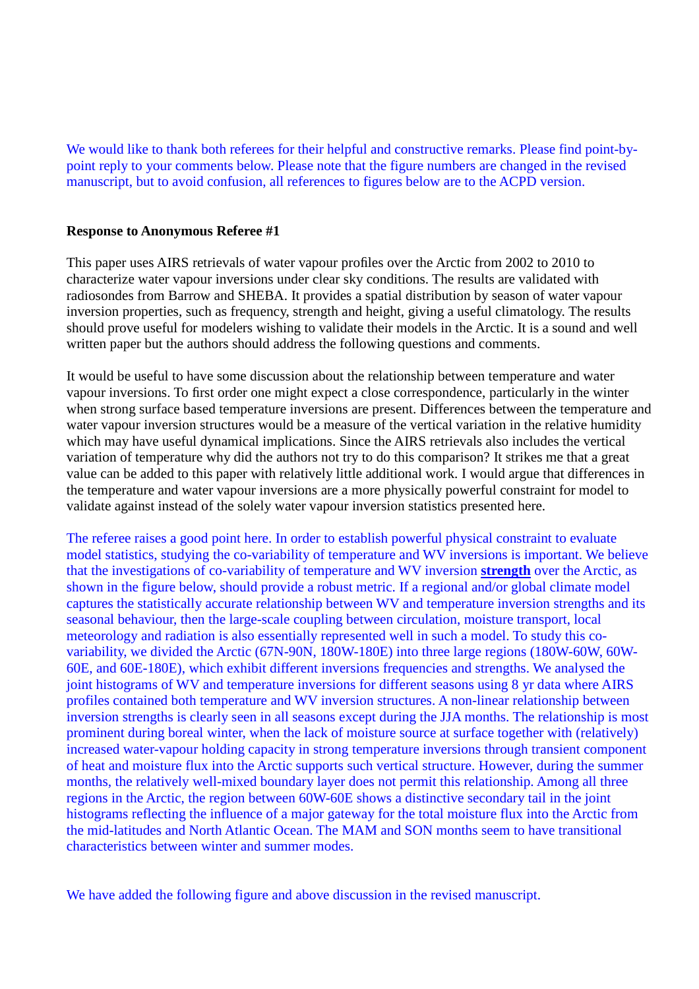We would like to thank both referees for their helpful and constructive remarks. Please find point-bypoint reply to your comments below. Please note that the figure numbers are changed in the revised manuscript, but to avoid confusion, all references to figures below are to the ACPD version.

## **Response to Anonymous Referee #1**

This paper uses AIRS retrievals of water vapour profiles over the Arctic from 2002 to 2010 to characterize water vapour inversions under clear sky conditions. The results are validated with radiosondes from Barrow and SHEBA. It provides a spatial distribution by season of water vapour inversion properties, such as frequency, strength and height, giving a useful climatology. The results should prove useful for modelers wishing to validate their models in the Arctic. It is a sound and well written paper but the authors should address the following questions and comments.

It would be useful to have some discussion about the relationship between temperature and water vapour inversions. To first order one might expect a close correspondence, particularly in the winter when strong surface based temperature inversions are present. Differences between the temperature and water vapour inversion structures would be a measure of the vertical variation in the relative humidity which may have useful dynamical implications. Since the AIRS retrievals also includes the vertical variation of temperature why did the authors not try to do this comparison? It strikes me that a great value can be added to this paper with relatively little additional work. I would argue that differences in the temperature and water vapour inversions are a more physically powerful constraint for model to validate against instead of the solely water vapour inversion statistics presented here.

The referee raises a good point here. In order to establish powerful physical constraint to evaluate model statistics, studying the co-variability of temperature and WV inversions is important. We believe that the investigations of co-variability of temperature and WV inversion **strength** over the Arctic, as shown in the figure below, should provide a robust metric. If a regional and/or global climate model captures the statistically accurate relationship between WV and temperature inversion strengths and its seasonal behaviour, then the large-scale coupling between circulation, moisture transport, local meteorology and radiation is also essentially represented well in such a model. To study this covariability, we divided the Arctic (67N-90N, 180W-180E) into three large regions (180W-60W, 60W-60E, and 60E-180E), which exhibit different inversions frequencies and strengths. We analysed the joint histograms of WV and temperature inversions for different seasons using 8 yr data where AIRS profiles contained both temperature and WV inversion structures. A non-linear relationship between inversion strengths is clearly seen in all seasons except during the JJA months. The relationship is most prominent during boreal winter, when the lack of moisture source at surface together with (relatively) increased water-vapour holding capacity in strong temperature inversions through transient component of heat and moisture flux into the Arctic supports such vertical structure. However, during the summer months, the relatively well-mixed boundary layer does not permit this relationship. Among all three regions in the Arctic, the region between 60W-60E shows a distinctive secondary tail in the joint histograms reflecting the influence of a major gateway for the total moisture flux into the Arctic from the mid-latitudes and North Atlantic Ocean. The MAM and SON months seem to have transitional characteristics between winter and summer modes.

We have added the following figure and above discussion in the revised manuscript.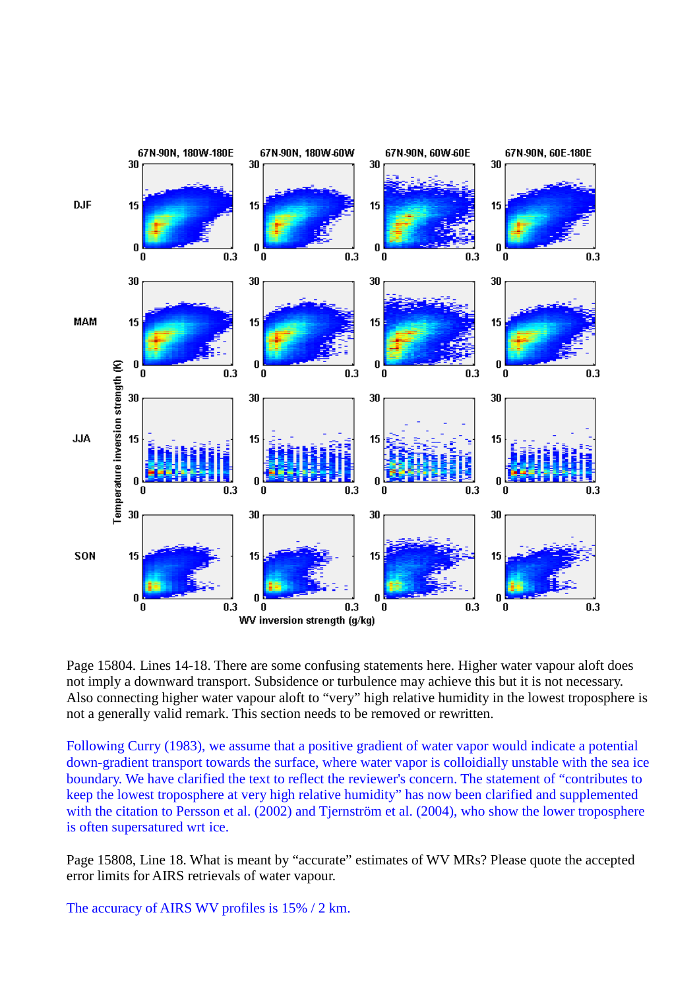

Page 15804. Lines 14-18. There are some confusing statements here. Higher water vapour aloft does not imply a downward transport. Subsidence or turbulence may achieve this but it is not necessary. Also connecting higher water vapour aloft to "very" high relative humidity in the lowest troposphere is not a generally valid remark. This section needs to be removed or rewritten.

Following Curry (1983), we assume that a positive gradient of water vapor would indicate a potential down-gradient transport towards the surface, where water vapor is colloidially unstable with the sea ice boundary. We have clarified the text to reflect the reviewer's concern. The statement of "contributes to keep the lowest troposphere at very high relative humidity" has now been clarified and supplemented with the citation to Persson et al. (2002) and Tjernström et al. (2004), who show the lower troposphere is often supersatured wrt ice.

Page 15808, Line 18. What is meant by "accurate" estimates of WV MRs? Please quote the accepted error limits for AIRS retrievals of water vapour.

The accuracy of AIRS WV profiles is 15% / 2 km.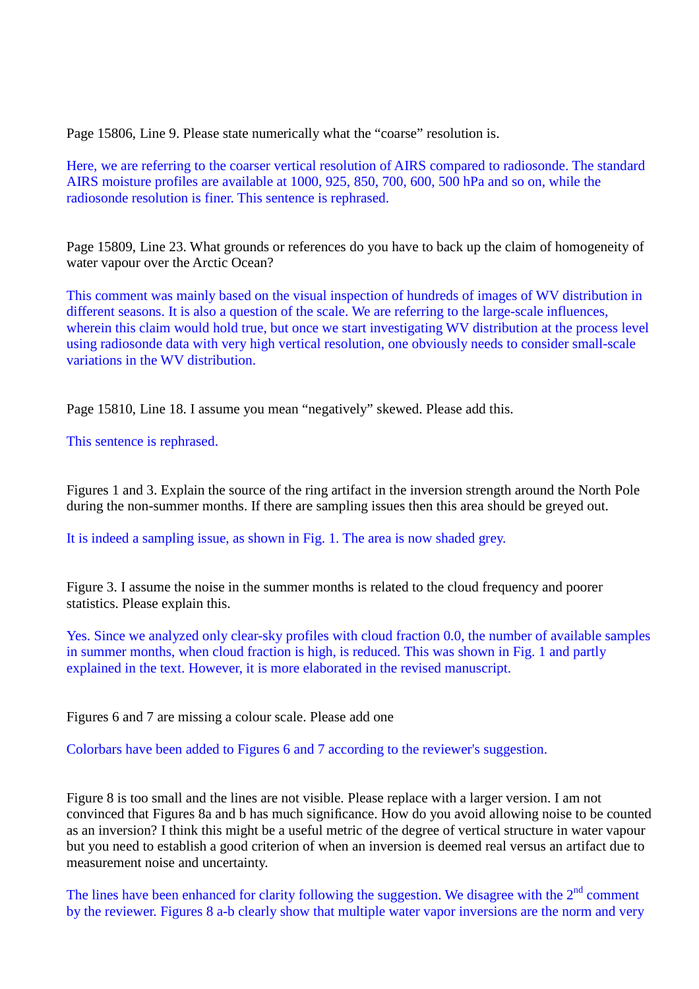Page 15806, Line 9. Please state numerically what the "coarse" resolution is.

Here, we are referring to the coarser vertical resolution of AIRS compared to radiosonde. The standard AIRS moisture profiles are available at 1000, 925, 850, 700, 600, 500 hPa and so on, while the radiosonde resolution is finer. This sentence is rephrased.

Page 15809, Line 23. What grounds or references do you have to back up the claim of homogeneity of water vapour over the Arctic Ocean?

This comment was mainly based on the visual inspection of hundreds of images of WV distribution in different seasons. It is also a question of the scale. We are referring to the large-scale influences, wherein this claim would hold true, but once we start investigating WV distribution at the process level using radiosonde data with very high vertical resolution, one obviously needs to consider small-scale variations in the WV distribution.

Page 15810, Line 18. I assume you mean "negatively" skewed. Please add this.

This sentence is rephrased.

Figures 1 and 3. Explain the source of the ring artifact in the inversion strength around the North Pole during the non-summer months. If there are sampling issues then this area should be greyed out.

It is indeed a sampling issue, as shown in Fig. 1. The area is now shaded grey.

Figure 3. I assume the noise in the summer months is related to the cloud frequency and poorer statistics. Please explain this.

Yes. Since we analyzed only clear-sky profiles with cloud fraction 0.0, the number of available samples in summer months, when cloud fraction is high, is reduced. This was shown in Fig. 1 and partly explained in the text. However, it is more elaborated in the revised manuscript.

Figures 6 and 7 are missing a colour scale. Please add one

Colorbars have been added to Figures 6 and 7 according to the reviewer's suggestion.

Figure 8 is too small and the lines are not visible. Please replace with a larger version. I am not convinced that Figures 8a and b has much significance. How do you avoid allowing noise to be counted as an inversion? I think this might be a useful metric of the degree of vertical structure in water vapour but you need to establish a good criterion of when an inversion is deemed real versus an artifact due to measurement noise and uncertainty.

The lines have been enhanced for clarity following the suggestion. We disagree with the  $2<sup>nd</sup>$  comment by the reviewer. Figures 8 a-b clearly show that multiple water vapor inversions are the norm and very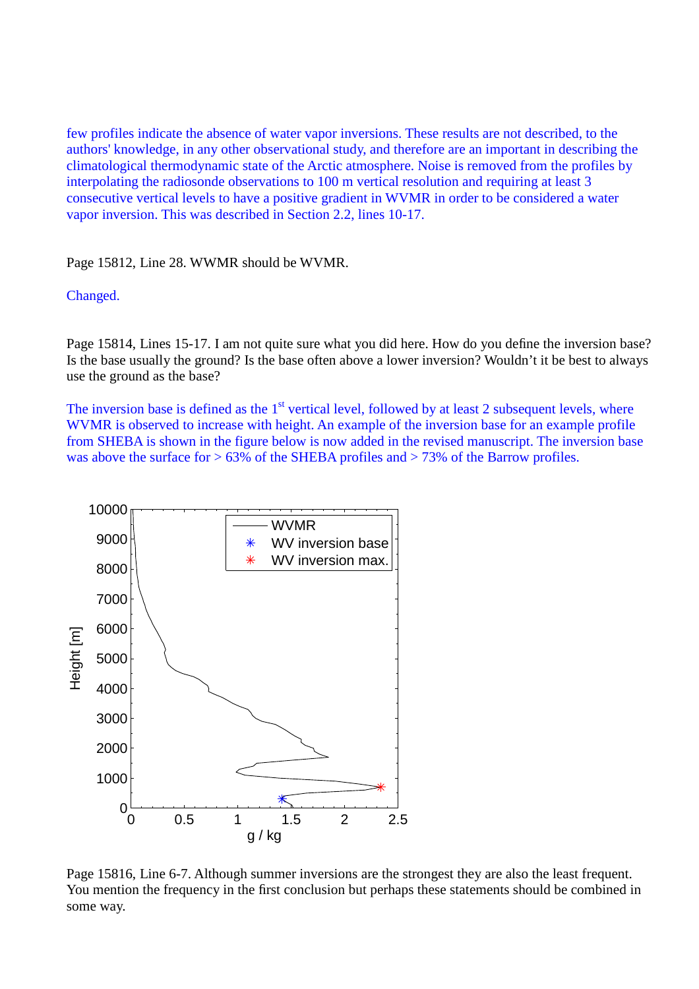few profiles indicate the absence of water vapor inversions. These results are not described, to the authors' knowledge, in any other observational study, and therefore are an important in describing the climatological thermodynamic state of the Arctic atmosphere. Noise is removed from the profiles by interpolating the radiosonde observations to 100 m vertical resolution and requiring at least 3 consecutive vertical levels to have a positive gradient in WVMR in order to be considered a water vapor inversion. This was described in Section 2.2, lines 10-17.

Page 15812, Line 28. WWMR should be WVMR.

## Changed.

Page 15814, Lines 15-17. I am not quite sure what you did here. How do you define the inversion base? Is the base usually the ground? Is the base often above a lower inversion? Wouldn't it be best to always use the ground as the base?

The inversion base is defined as the  $1<sup>st</sup>$  vertical level, followed by at least 2 subsequent levels, where WVMR is observed to increase with height. An example of the inversion base for an example profile from SHEBA is shown in the figure below is now added in the revised manuscript. The inversion base was above the surface for  $> 63\%$  of the SHEBA profiles and  $> 73\%$  of the Barrow profiles.



Page 15816, Line 6-7. Although summer inversions are the strongest they are also the least frequent. You mention the frequency in the first conclusion but perhaps these statements should be combined in some way.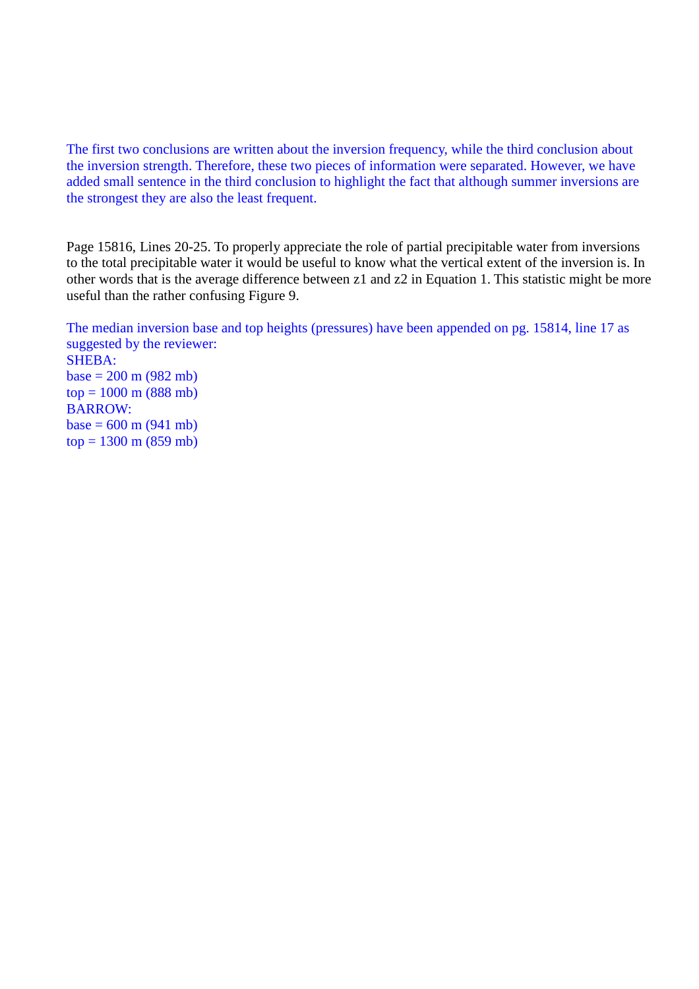The first two conclusions are written about the inversion frequency, while the third conclusion about the inversion strength. Therefore, these two pieces of information were separated. However, we have added small sentence in the third conclusion to highlight the fact that although summer inversions are the strongest they are also the least frequent.

Page 15816, Lines 20-25. To properly appreciate the role of partial precipitable water from inversions to the total precipitable water it would be useful to know what the vertical extent of the inversion is. In other words that is the average difference between z1 and z2 in Equation 1. This statistic might be more useful than the rather confusing Figure 9.

The median inversion base and top heights (pressures) have been appended on pg. 15814, line 17 as suggested by the reviewer: SHEBA:  $base = 200 \text{ m} (982 \text{ mb})$  $top = 1000$  m (888 mb) BARROW:  $base = 600 \text{ m} (941 \text{ mb})$  $top = 1300$  m (859 mb)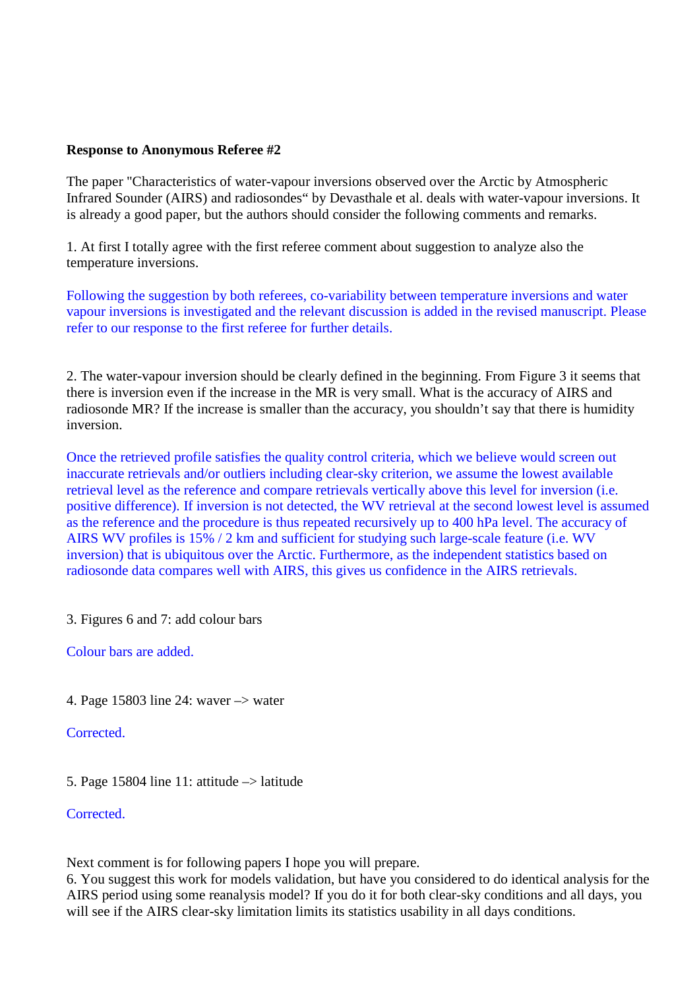## **Response to Anonymous Referee #2**

The paper "Characteristics of water-vapour inversions observed over the Arctic by Atmospheric Infrared Sounder (AIRS) and radiosondes" by Devasthale et al. deals with water-vapour inversions. It is already a good paper, but the authors should consider the following comments and remarks.

1. At first I totally agree with the first referee comment about suggestion to analyze also the temperature inversions.

Following the suggestion by both referees, co-variability between temperature inversions and water vapour inversions is investigated and the relevant discussion is added in the revised manuscript. Please refer to our response to the first referee for further details.

2. The water-vapour inversion should be clearly defined in the beginning. From Figure 3 it seems that there is inversion even if the increase in the MR is very small. What is the accuracy of AIRS and radiosonde MR? If the increase is smaller than the accuracy, you shouldn't say that there is humidity inversion.

Once the retrieved profile satisfies the quality control criteria, which we believe would screen out inaccurate retrievals and/or outliers including clear-sky criterion, we assume the lowest available retrieval level as the reference and compare retrievals vertically above this level for inversion (i.e. positive difference). If inversion is not detected, the WV retrieval at the second lowest level is assumed as the reference and the procedure is thus repeated recursively up to 400 hPa level. The accuracy of AIRS WV profiles is 15% / 2 km and sufficient for studying such large-scale feature (i.e. WV inversion) that is ubiquitous over the Arctic. Furthermore, as the independent statistics based on radiosonde data compares well with AIRS, this gives us confidence in the AIRS retrievals.

3. Figures 6 and 7: add colour bars

Colour bars are added.

4. Page 15803 line 24: waver –> water

Corrected.

5. Page 15804 line 11: attitude  $\rightarrow$  latitude

Corrected.

Next comment is for following papers I hope you will prepare.

6. You suggest this work for models validation, but have you considered to do identical analysis for the AIRS period using some reanalysis model? If you do it for both clear-sky conditions and all days, you will see if the AIRS clear-sky limitation limits its statistics usability in all days conditions.